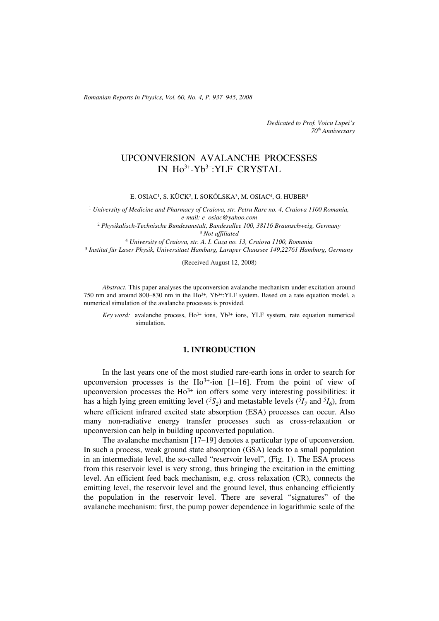*Romanian Reports in Physics, Vol. 60, No. 4, P. 937–945, 2008*

*Dedicated to Prof. Voicu Lupei's 70th Anniversary*

# UPCONVERSION AVALANCHE PROCESSES IN Ho3+-Yb3+:YLF CRYSTAL

E. OSIAC<sup>1</sup>, S. KÜCK<sup>2</sup>, I. SOKÓLSKA<sup>3</sup>, M. OSIAC<sup>4</sup>, G. HUBER<sup>5</sup>

<sup>1</sup> *University of Medicine and Pharmacy of Craiova, str. Petru Rare no. 4, Craiova 1100 Romania, e-mail: e\_osiac@yahoo.com* <sup>2</sup> *Physikalisch-Technische Bundesanstalt, Bundesallee 100, 38116 Braunschweig, Germany*

<sup>3</sup> *Not affiliated*

<sup>4</sup> *University of Craiova, str. A. I. Cuza no. 13, Craiova 1100, Romania*

<sup>5</sup> *Institut für Laser Physik, Universitaet Hamburg, Luruper Chaussee 149,22761 Hamburg, Germany*

(Received August 12, 2008)

*Abstract*. This paper analyses the upconversion avalanche mechanism under excitation around 750 nm and around 800–830 nm in the  $Ho^{3+}$ , Yb<sup>3+</sup>: YLF system. Based on a rate equation model, a numerical simulation of the avalanche processes is provided.

*Key word:* avalanche process, Ho<sup>3+</sup> ions, Yb<sup>3+</sup> ions, YLF system, rate equation numerical simulation.

## **1. INTRODUCTION**

In the last years one of the most studied rare-earth ions in order to search for upconversion processes is the Ho<sup>3+</sup>-ion [1–16]. From the point of view of upconversion processes the  $Ho^{3+}$  ion offers some very interesting possibilities: it has a high lying green emitting level  $({}^5S_2)$  and metastable levels  $({}^5I_7$  and  ${}^5I_6)$ , from where efficient infrared excited state absorption (ESA) processes can occur. Also many non-radiative energy transfer processes such as cross-relaxation or upconversion can help in building upconverted population.

The avalanche mechanism [17–19] denotes a particular type of upconversion. In such a process, weak ground state absorption (GSA) leads to a small population in an intermediate level, the so-called "reservoir level", (Fig. 1). The ESA process from this reservoir level is very strong, thus bringing the excitation in the emitting level. An efficient feed back mechanism, e.g. cross relaxation (CR), connects the emitting level, the reservoir level and the ground level, thus enhancing efficiently the population in the reservoir level. There are several "signatures" of the avalanche mechanism: first, the pump power dependence in logarithmic scale of the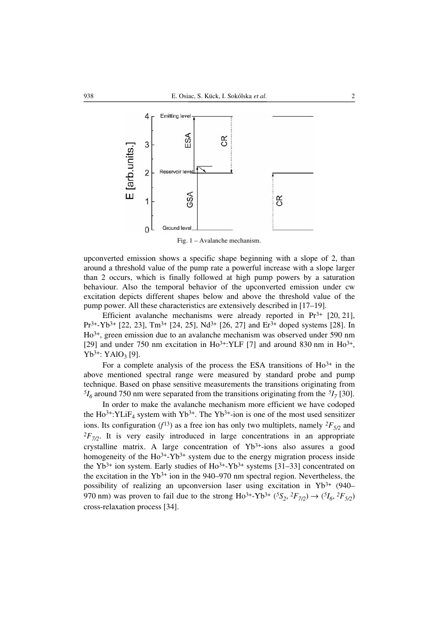

Fig. 1 – Avalanche mechanism.

upconverted emission shows a specific shape beginning with a slope of 2, than around a threshold value of the pump rate a powerful increase with a slope larger than 2 occurs, which is finally followed at high pump powers by a saturation behaviour. Also the temporal behavior of the upconverted emission under cw excitation depicts different shapes below and above the threshold value of the pump power. All these characteristics are extensively described in [17–19].

Efficient avalanche mechanisms were already reported in  $Pr<sup>3+</sup>$  [20, 21],  $Pr^{3+}$ -Yb<sup>3+</sup> [22, 23], Tm<sup>3+</sup> [24, 25], Nd<sup>3+</sup> [26, 27] and Er<sup>3+</sup> doped systems [28]. In Ho3+, green emission due to an avalanche mechanism was observed under 590 nm [29] and under 750 nm excitation in Ho<sup>3+</sup>: YLF [7] and around 830 nm in Ho<sup>3+</sup>,  $Yb^{3+}$ : YAlO<sub>3</sub> [9].

For a complete analysis of the process the ESA transitions of  $Ho^{3+}$  in the above mentioned spectral range were measured by standard probe and pump technique. Based on phase sensitive measurements the transitions originating from  ${}^{5}I_{6}$  around 750 nm were separated from the transitions originating from the  ${}^{5}I_{7}$  [30].

In order to make the avalanche mechanism more efficient we have codoped the  $Ho^{3+}$ : YLiF<sub>4</sub> system with Yb<sup>3+</sup>. The Yb<sup>3+</sup>-ion is one of the most used sensitizer ions. Its configuration ( $f^{13}$ ) as a free ion has only two multiplets, namely  ${}^2F_{5/2}$  and  ${}^{2}F_{7/2}$ . It is very easily introduced in large concentrations in an appropriate crystalline matrix. A large concentration of Yb<sup>3+</sup>-ions also assures a good homogeneity of the  $Ho^{3+}-Yb^{3+}$  system due to the energy migration process inside the  $Yb^{3+}$  ion system. Early studies of  $Ho^{3+}-Yb^{3+}$  systems [31–33] concentrated on the excitation in the  $Yb^{3+}$  ion in the 940–970 nm spectral region. Nevertheless, the possibility of realizing an upconversion laser using excitation in  $Yb^{3+}$  (940– 970 nm) was proven to fail due to the strong  $Ho^{3+}\text{-}Yb^{3+} ({}^{5}S_2, {}^{2}F_{7/2}) \rightarrow ({}^{5}I_6, {}^{2}F_{5/2})$ cross-relaxation process [34].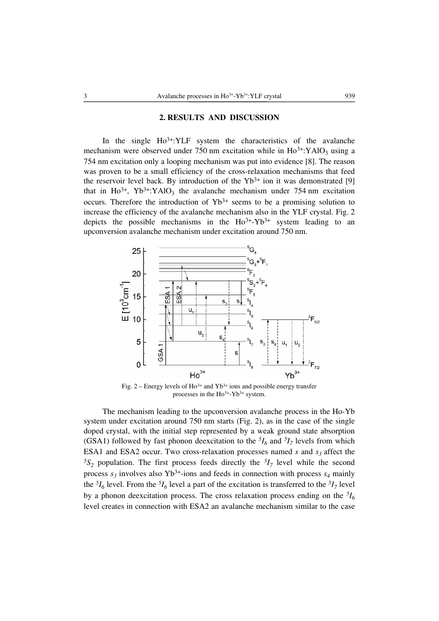#### **2. RESULTS AND DISCUSSION**

In the single  $Ho^{3+}$ : YLF system the characteristics of the avalanche mechanism were observed under 750 nm excitation while in  $Ho^{3+}$ : YAlO<sub>3</sub> using a 754 nm excitation only a looping mechanism was put into evidence [8]. The reason was proven to be a small efficiency of the cross-relaxation mechanisms that feed the reservoir level back. By introduction of the  $Yb^{3+}$  ion it was demonstrated [9] that in Ho<sup>3+</sup>, Yb<sup>3+</sup>:YAlO<sub>3</sub> the avalanche mechanism under 754 nm excitation occurs. Therefore the introduction of  $Yb^{3+}$  seems to be a promising solution to increase the efficiency of the avalanche mechanism also in the YLF crystal. Fig. 2 depicts the possible mechanisms in the  $Ho^{3+}-Yb^{3+}$  system leading to an upconversion avalanche mechanism under excitation around 750 nm.



Fig.  $2$  – Energy levels of Ho<sup>3+</sup> and Yb<sup>3+</sup> ions and possible energy transfer processes in the Ho3+-Yb3+ system.

The mechanism leading to the upconversion avalanche process in the Ho-Yb system under excitation around 750 nm starts (Fig. 2), as in the case of the single doped crystal, with the initial step represented by a weak ground state absorption (GSA1) followed by fast phonon deexcitation to the  ${}^{5}I_6$  and  ${}^{5}I_7$  levels from which ESA1 and ESA2 occur. Two cross-relaxation processes named  $s$  and  $s_3$  affect the  $5S_2$  population. The first process feeds directly the  $5I_7$  level while the second process  $s_3$  involves also Yb<sup>3+</sup>-ions and feeds in connection with process  $s_4$  mainly the  ${}^{5}I_6$  level. From the  ${}^{5}I_6$  level a part of the excitation is transferred to the  ${}^{5}I_7$  level by a phonon deexcitation process. The cross relaxation process ending on the  $^{5}I_6$ level creates in connection with ESA2 an avalanche mechanism similar to the case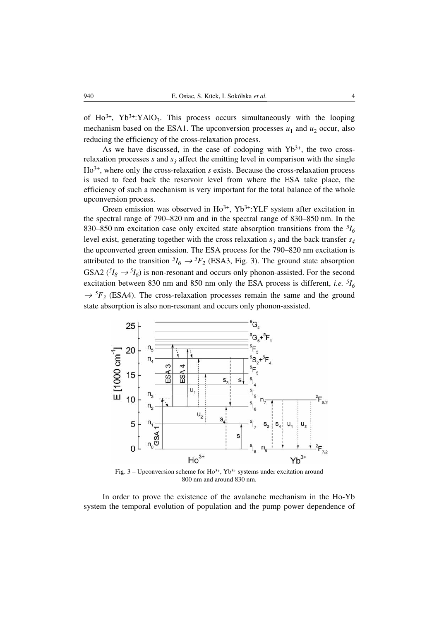of Ho<sup>3+</sup>, Yb<sup>3+</sup>:YAlO<sub>3</sub>. This process occurs simultaneously with the looping mechanism based on the ESA1. The upconversion processes  $u_1$  and  $u_2$  occur, also reducing the efficiency of the cross-relaxation process.

As we have discussed, in the case of codoping with  $Yb^{3+}$ , the two crossrelaxation processes  $s$  and  $s_3$  affect the emitting level in comparison with the single Ho3+, where only the cross-relaxation *s* exists. Because the cross-relaxation process is used to feed back the reservoir level from where the ESA take place, the efficiency of such a mechanism is very important for the total balance of the whole upconversion process.

Green emission was observed in  $Ho^{3+}$ ,  $Yb^{3+}$ : YLF system after excitation in the spectral range of 790–820 nm and in the spectral range of 830–850 nm. In the 830–850 nm excitation case only excited state absorption transitions from the *5I6* level exist, generating together with the cross relaxation  $s_3$  and the back transfer  $s_4$ the upconverted green emission. The ESA process for the 790–820 nm excitation is attributed to the transition  ${}^5I_6 \rightarrow {}^5F_2$  (ESA3, Fig. 3). The ground state absorption GSA2 ( ${}^{5}I_8 \rightarrow {}^{5}I_6$ ) is non-resonant and occurs only phonon-assisted. For the second excitation between 830 nm and 850 nm only the ESA process is different, *i.e.* <sup>5</sup>*I*<sub>6</sub>  $\rightarrow$  <sup>5</sup>F<sub>3</sub> (ESA4). The cross-relaxation processes remain the same and the ground state absorption is also non-resonant and occurs only phonon-assisted.



Fig.  $3$  – Upconversion scheme for Ho<sup>3+</sup>, Yb<sup>3+</sup> systems under excitation around 800 nm and around 830 nm.

In order to prove the existence of the avalanche mechanism in the Ho-Yb system the temporal evolution of population and the pump power dependence of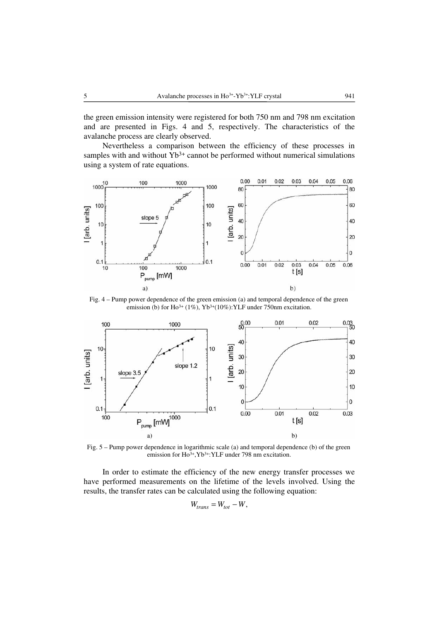the green emission intensity were registered for both 750 nm and 798 nm excitation and are presented in Figs. 4 and 5, respectively. The characteristics of the avalanche process are clearly observed.

Nevertheless a comparison between the efficiency of these processes in samples with and without  $Yb^{3+}$  cannot be performed without numerical simulations using a system of rate equations.



Fig. 4 – Pump power dependence of the green emission (a) and temporal dependence of the green emission (b) for Ho<sup>3+</sup> (1%), Yb<sup>3+</sup>(10%): YLF under 750nm excitation.



Fig. 5 – Pump power dependence in logarithmic scale (a) and temporal dependence (b) of the green emission for  $Ho^{3+}$ , Yb<sup>3+</sup>: YLF under 798 nm excitation.

In order to estimate the efficiency of the new energy transfer processes we have performed measurements on the lifetime of the levels involved. Using the results, the transfer rates can be calculated using the following equation:

$$
W_{trans} = W_{tot} - W,
$$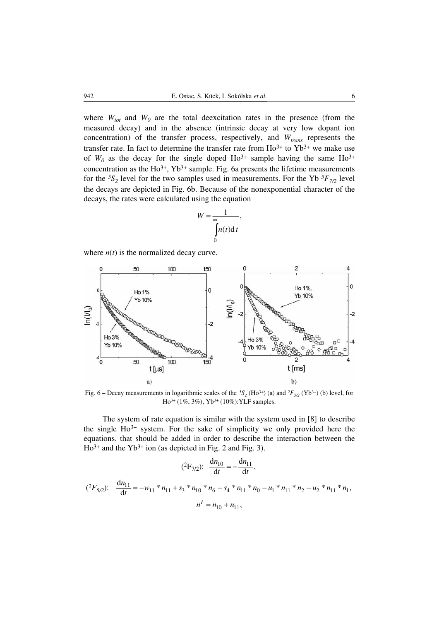where  $W_{tot}$  and  $W_0$  are the total deexcitation rates in the presence (from the measured decay) and in the absence (intrinsic decay at very low dopant ion concentration) of the transfer process, respectively, and  $W_{trans}$  represents the transfer rate. In fact to determine the transfer rate from  $Ho^{3+}$  to  $Yb^{3+}$  we make use of  $W_0$  as the decay for the single doped  $Ho^{3+}$  sample having the same  $Ho^{3+}$ concentration as the  $Ho^{3+}$ ,  $Yb^{3+}$  sample. Fig. 6a presents the lifetime measurements for the  ${}^5S_2$  level for the two samples used in measurements. For the Yb  ${}^5F_{7/2}$  level the decays are depicted in Fig. 6b. Because of the nonexponential character of the decays, the rates were calculated using the equation

$$
W = \frac{1}{\int_{0}^{\infty} n(t) \mathrm{d}t},
$$

where  $n(t)$  is the normalized decay curve.



Fig. 6 – Decay measurements in logarithmic scales of the <sup>5</sup>S<sub>2</sub> (Ho<sup>3+</sup>) (a) and <sup>2</sup>F<sub>5/2</sub> (Yb<sup>3+</sup>) (b) level, for Ho3+ (1%, 3%), Yb3+ (10%):YLF samples.

The system of rate equation is similar with the system used in [8] to describe the single  $Ho^{3+}$  system. For the sake of simplicity we only provided here the equations. that should be added in order to describe the interaction between the  $Ho^{3+}$  and the Yb<sup>3+</sup> ion (as depicted in Fig. 2 and Fig. 3).

$$
(^{2}F_{7/2}): \frac{dn_{10}}{dt} = -\frac{dn_{11}}{dt},
$$
  

$$
(^{2}F_{5/2}): \frac{dn_{11}}{dt} = -w_{11} * n_{11} + s_3 * n_{10} * n_6 - s_4 * n_{11} * n_0 - u_1 * n_{11} * n_2 - u_2 * n_{11} * n_1,
$$
  

$$
n' = n_{10} + n_{11},
$$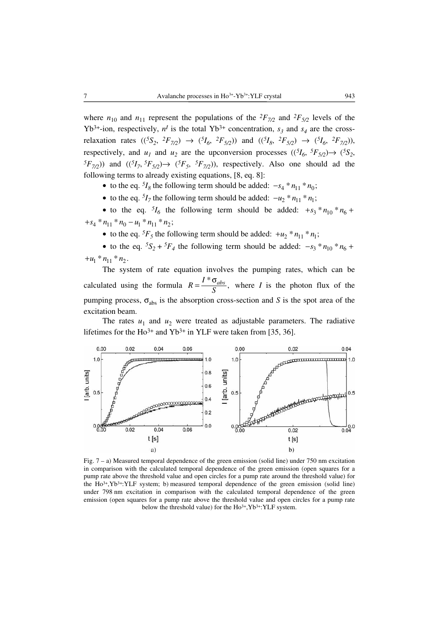where  $n_{10}$  and  $n_{11}$  represent the populations of the  ${}^{2}F_{7/2}$  and  ${}^{2}F_{5/2}$  levels of the Yb<sup>3+</sup>-ion, respectively,  $n<sup>I</sup>$  is the total Yb<sup>3+</sup> concentration,  $s<sub>3</sub>$  and  $s<sub>4</sub>$  are the crossrelaxation rates  $((^{5}S_2, ^{2}F_{7/2}) \rightarrow (^{5}I_6, ^{2}F_{5/2})$  and  $((^{5}I_8, ^{2}F_{5/2}) \rightarrow (^{5}I_6, ^{2}F_{7/2})$ , respectively, and  $u_1$  and  $u_2$  are the upconversion processes  $(({}^5I_6, {}^5F_{5/2}) \rightarrow ({}^5S_2, {}^5F_{5/2})$  $(5F_{7/2})$  and  $((5I_7, 5F_{5/2}) \rightarrow (5F_5, 5F_{7/2})$ , respectively. Also one should ad the following terms to already existing equations, [8, eq. 8]:

- to the eq.  $5I_8$  the following term should be added:  $-s_4 * n_{11} * n_0$ ;
- to the eq.  $5I_7$  the following term should be added:  $-u_2 * n_{11} * n_1$ ;

• to the eq.  $5I_6$  the following term should be added:  $+s_3 * n_{10} * n_6 +$  $+s_4 * n_{11} * n_0 - u_1 * n_{11} * n_2;$ 

• to the eq.  ${}^5F_5$  the following term should be added:  $+u_2 * n_1 * n_1$ ;

• to the eq.  ${}^5S_2 + {}^5F_4$  the following term should be added:  $- s_3 * n_{10} * n_6 + ...$  $+u_1 * n_{11} * n_2.$ 

The system of rate equation involves the pumping rates, which can be calculated using the formula  $R = \frac{I^* \sigma_{abs}}{S}$ , where *I* is the photon flux of the pumping process,  $\sigma_{\text{abs}}$  is the absorption cross-section and *S* is the spot area of the excitation beam.

The rates  $u_1$  and  $u_2$  were treated as adjustable parameters. The radiative lifetimes for the Ho<sup>3+</sup> and Yb<sup>3+</sup> in YLF were taken from [35, 36].



Fig. 7 – a) Measured temporal dependence of the green emission (solid line) under 750 nm excitation in comparison with the calculated temporal dependence of the green emission (open squares for a pump rate above the threshold value and open circles for a pump rate around the threshold value) for the  $Ho^{3+}, Yb^{3+} : YLF$  system; b) measured temporal dependence of the green emission (solid line) under 798 nm excitation in comparison with the calculated temporal dependence of the green emission (open squares for a pump rate above the threshold value and open circles for a pump rate below the threshold value) for the  $Ho^{3+}$ ,  $Yb^{3+}$ : YLF system.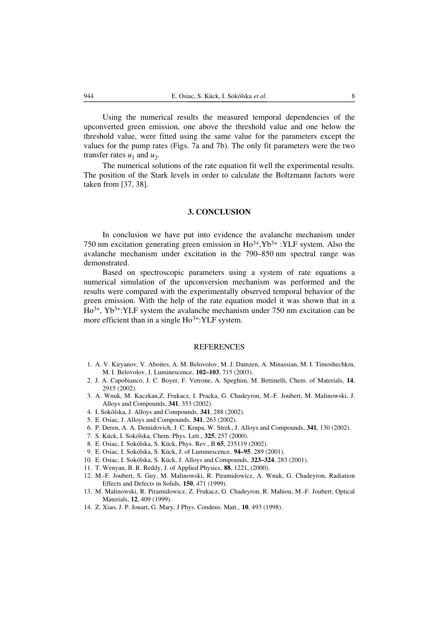Using the numerical results the measured temporal dependencies of the upconverted green emission, one above the threshold value and one below the threshold value, were fitted using the same value for the parameters except the values for the pump rates (Figs. 7a and 7b). The only fit parameters were the two transfer rates  $u_1$  and  $u_2$ .

The numerical solutions of the rate equation fit well the experimental results. The position of the Stark levels in order to calculate the Boltzmann factors were taken from [37, 38].

### **3. CONCLUSION**

In conclusion we have put into evidence the avalanche mechanism under 750 nm excitation generating green emission in  $Ho^{3+}, Yb^{3+}$ : YLF system. Also the avalanche mechanism under excitation in the 790–850 nm spectral range was demonstrated.

Based on spectroscopic parameters using a system of rate equations a numerical simulation of the upconversion mechanism was performed and the results were compared with the experimentally observed temporal behavior of the green emission. With the help of the rate equation model it was shown that in a Ho3+, Yb3+:YLF system the avalanche mechanism under 750 nm excitation can be more efficient than in a single Ho<sup>3+</sup>:YLF system.

#### REFERENCES

- 1. A. V. Kiryanov, V. Aboites, A. M. Belovolov, M. J. Damzen, A. Minassian, M. I. Timoshechkin, M. I. Belovolov, J. Luminescence, **102–103**, 715 (2003).
- 2. J. A. Capobianco, J. C. Boyer, F. Vetrone, A. Speghini, M. Bettinelli, Chem. of Materials, **14**, 2915 (2002).
- 3. A. Wnuk, M. Kaczkan,Z. Frukacz, I. Pracka, G. Chadeyron, M.-F. Joubert, M. Malinowski, J. Alloys and Compounds, **341**, 353 (2002).
- 4. I. Sokólska, J. Alloys and Compounds, **341**, 288 (2002).
- 5. E. Osiac, J. Alloys and Compounds, **341**, 263 (2002).
- 6. P. Deren, A. A. Demidovich, J. C. Krupa, W. Strek, J. Alloys and Compounds, **341**, 130 (2002).
- 7. S. Kück, I. Sokólska, Chem. Phys. Lett., **325**, 257 (2000).
- 8. E. Osiac, I. Sokólska, S. Kück, Phys. Rev., B **65**, 235119 (2002).
- 9. E. Osiac, I. Sokólska, S. Kück, J. of Luminescence, **94–95**, 289 (2001).
- 10. E. Osiac, I. Sokólska, S. Kück, J. Alloys and Compounds, **323–324**, 283 (2001).
- 11. T. Wenyan, B. R. Reddy, J. of Applied Physics, **88**, 1221, (2000).
- 12. M.-F. Joubert, S. Guy, M. Malinowski, R. Piramidowicz, A. Wnuk, G. Chadeyron, Radiation Effects and Defects in Solids, **150**, 471 (1999).
- 13. M. Malinowski, R. Piramidowicz, Z. Frukacz, G. Chadeyron, R. Mahiou, M.-F. Joubert, Optical Materials, **12**, 409 (1999).
- 14. Z. Xiao, J. P. Jouart, G. Mary, J Phys. Condens. Matt., **10**, 493 (1998).